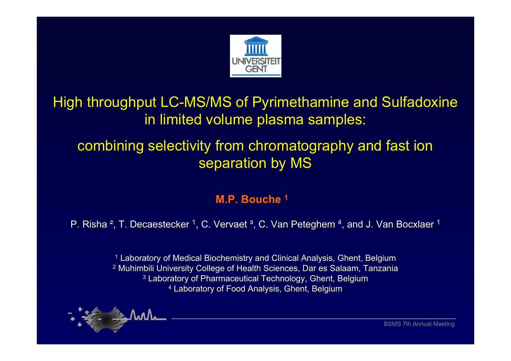

## High throughput LC-MS/MS of Pyrimethamine and Sulfadoxine in limited volume plasma samples:

## combining selectivity from chromatography and fast ion separation by MS

### **M.P. Bouche <sup>1</sup>**

P. Risha <sup>2</sup>, T. Decaestecker <sup>1</sup>, C. Vervaet <sup>3</sup>, C. Van Peteghem <sup>4</sup>, and J. Van Bocxlaer <sup>1</sup>

 $^\text{1}$  Laboratory of Medical Biochemistry and Clinical Analysis, Ghent, Belgium  $^{\rm 2}$  Muhimbili University College of Health Sciences, Dar es Salaam, Tanzania  $^3$  Laboratory of Pharmaceutical Technology, Ghent, Belgium  $\rm ^4$  Laboratory of Food Analysis, Ghent, Belgium

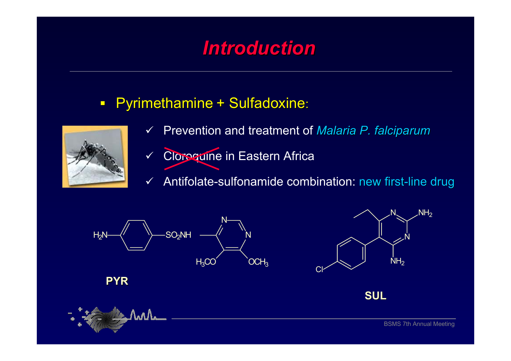# *Introduction Introduction*

#### $\Box$ Pyrimethamine + Sulfadoxine:



- $\checkmark$ Prevention and treatment of *Malaria P. falciparum Malaria P. falciparum*
- $\checkmark$ Cloroguine in Eastern Africa
- $\checkmark$ Antifolate-sulfonamide combination: new first-line drug

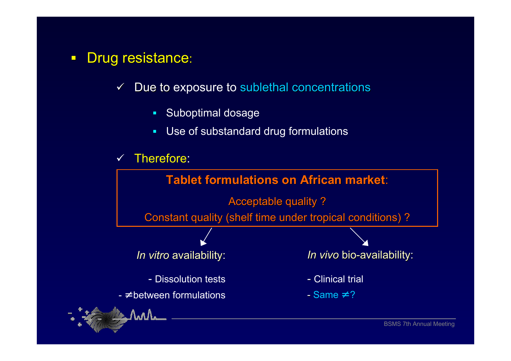- $\blacksquare$ Drug resistance:
	- $\checkmark$ Due to exposure to sublethal concentrations
		- $\blacksquare$ Suboptimal dosage
		- × Use of substandard drug formulations



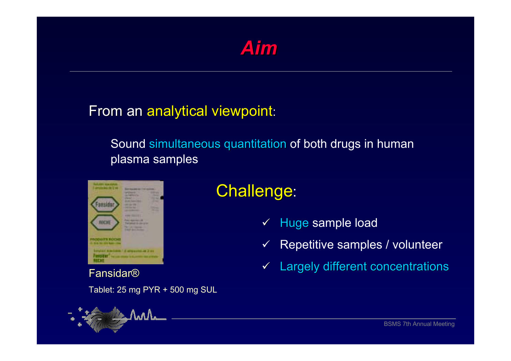

### From an analytical viewpoint:

Sound simultaneous quantitation of both drugs in human plasma samples



### Fansidar®

Tablet: 25 mg PYR + 500 mg SUL



# **Challenge:**

- $\checkmark$ Huge sample load
- $\checkmark$ Repetitive samples / volunteer
- $\blacktriangledown$ Largely different concentrations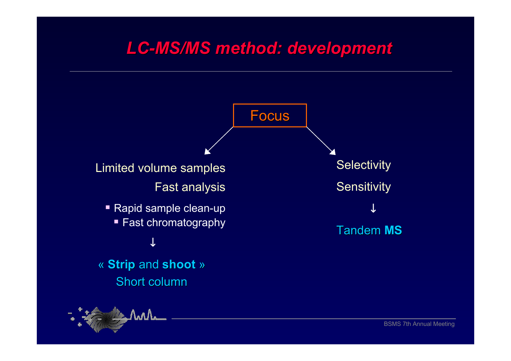# *LC-MS/MS method: development MS/MS method: development*

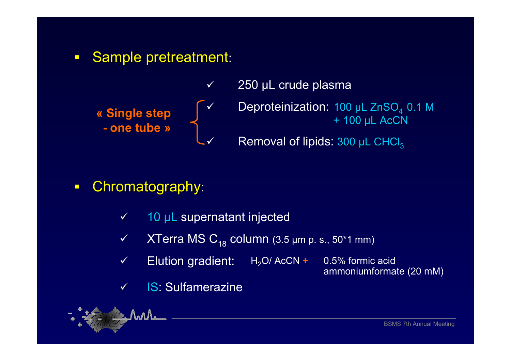$\Box$ Sample pretreatment:



- $\overline{\phantom{a}}$ Chromatography:
	- $\checkmark$ 10 µL supernatant injected
	- $\checkmark$  $\checkmark$  XTerra MS C<sub>18</sub> column (3.5 µm p. s., 50\*1 mm)
	- $\checkmark$  Elution gradient: H2O/ AcCN **<sup>+</sup>** 0.5% formic acid
		- ammoniumformate (20 mM)

 $\checkmark$ IS: Sulfamerazine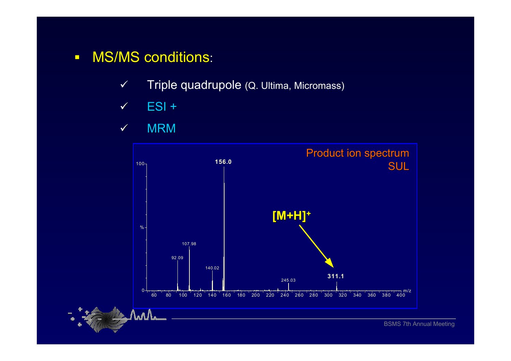- $\Box$ **MS/MS conditions:** 
	- $\checkmark$ Triple quadrupole (Q. Ultima, Micromass)
	- $\checkmark$ ESI +

#### $\checkmark$  $\checkmark$  MRM

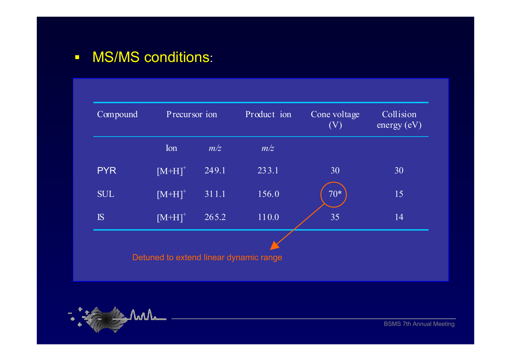#### $\Box$ **MS/MS conditions:**

| Compound   | Precursor ion        |       | Product ion                            | Cone voltage<br>(V) | Collision<br>energy $(eV)$ |  |
|------------|----------------------|-------|----------------------------------------|---------------------|----------------------------|--|
|            | Ion                  | m/z   | m/z                                    |                     |                            |  |
| <b>PYR</b> | $[M+H]$ <sup>+</sup> | 249.1 | 233.1                                  | 30                  | 30                         |  |
| <b>SUL</b> | $[M+H]$ <sup>+</sup> | 311.1 | 156.0                                  | $70*$               | 15                         |  |
| IS         | $[M+H]$ <sup>+</sup> | 265.2 | 110.0                                  | 35                  | 14                         |  |
|            |                      |       |                                        |                     |                            |  |
|            |                      |       | Detuned to extend linear dynamic range |                     |                            |  |

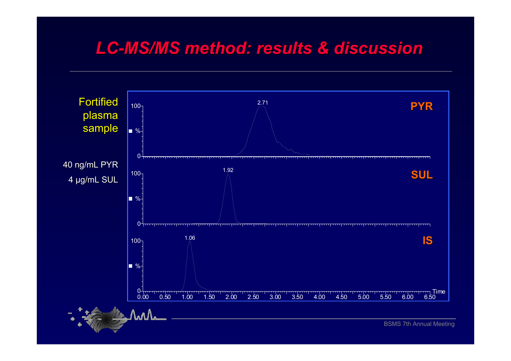# *LC-MS/MS method: results & discussion MS/MS method: results & discussion*

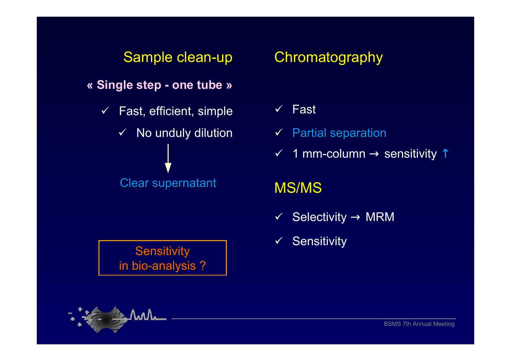### Sample clean-up

**« Single step Single step - one tube one tube »**

 $\checkmark$  Fast, efficient, simple  $\checkmark$  No unduly dilution **Clear supernatant** 

**Sensitivity** in bio-analysis ?

## **Chromatography**

- $\checkmark$ Fast
- $\checkmark$  Partial separation
- $\checkmark$  1 mm-column  $\to$  sensitivity  $\hat{\uparrow}$

## MS/MS

- $\checkmark$  Selectivity  $\to$  MRM
- $\checkmark$  Sensitivity

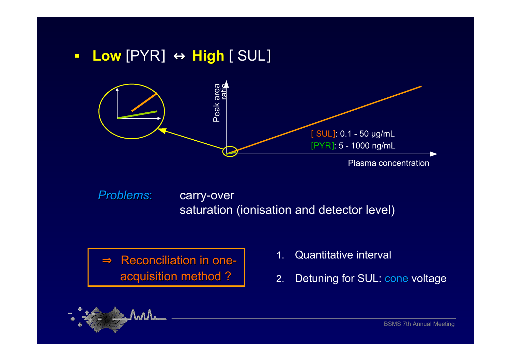$\Box$ **Low** [PYR] <sup>↔</sup> **High** [ SUL]



*Problems*carry-over saturation (ionisation and detector level)

 $\Rightarrow$  Reconciliation in one-Reconciliation in one-<br>
acquisition method ? <br>
2. Detuning for SUL: cone voltage

- 
- 

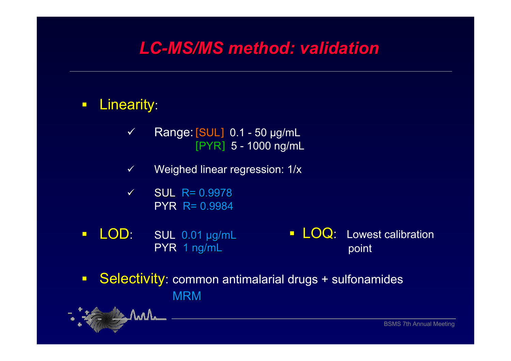# *LC-MS/MS method: validation MS/MS method: validation*

#### $\Box$ Linearity:

- $\checkmark$  Range:[SUL] 0.1 - 50 µg/mL [PYR] 5 - 1000 ng/mL
- $\checkmark$ Weighed linear regression: 1/x
- $\checkmark$  $SUL$  R= 0.9978 PYR R= 0.9984
- $\blacksquare$ LOD: SUL 0.01 µg/mL PYR 1 ng/mL  $\blacksquare$   $\blacksquare$   $\blacksquare$   $\blacksquare$   $\blacksquare$   $\blacksquare$   $\blacksquare$   $\blacksquare$   $\blacksquare$   $\blacksquare$   $\blacksquare$   $\blacksquare$   $\blacksquare$   $\blacksquare$   $\blacksquare$   $\blacksquare$   $\blacksquare$   $\blacksquare$   $\blacksquare$   $\blacksquare$   $\blacksquare$   $\blacksquare$   $\blacksquare$   $\blacksquare$   $\blacksquare$   $\blacksquare$   $\blacksquare$   $\blacksquare$   $\blacksquare$   $\blacksquare$   $\blacksquare$   $\blacks$ point
- $\Box$ Selectivity: common antimalarial drugs + sulfonamides MRM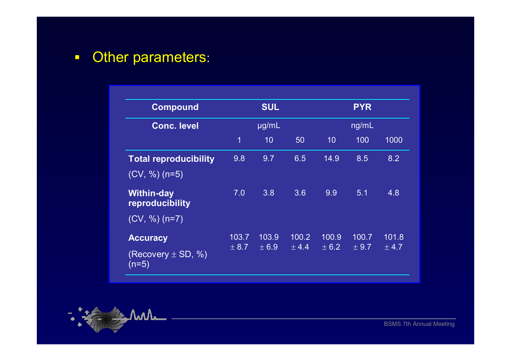$\blacksquare$ Other parameters:

| <b>Compound</b>                                         | <b>SUL</b><br>µg/mL |                |                | <b>PYR</b><br>ng/mL |                |                |
|---------------------------------------------------------|---------------------|----------------|----------------|---------------------|----------------|----------------|
| <b>Conc. level</b>                                      |                     |                |                |                     |                |                |
|                                                         | $\overline{1}$      | 10             | 50             | 10                  | 100            | 1000           |
| <b>Total reproducibility</b><br>$(CV, %)$ (n=5)         | 9.8                 | 9.7            | 6.5            | 14.9                | 8.5            | 8.2            |
| <b>Within-day</b><br>reproducibility<br>$(CV, %)$ (n=7) | 7.0                 | 3.8            | 3.6            | 9.9                 | 5.1            | 4.8            |
| <b>Accuracy</b><br>(Recovery $\pm$ SD, %)<br>$(n=5)$    | 103.7<br>± 8.7      | 103.9<br>± 6.9 | 100.2<br>± 4.4 | 100.9<br>± 6.2      | 100.7<br>± 9.7 | 101.8<br>± 4.7 |